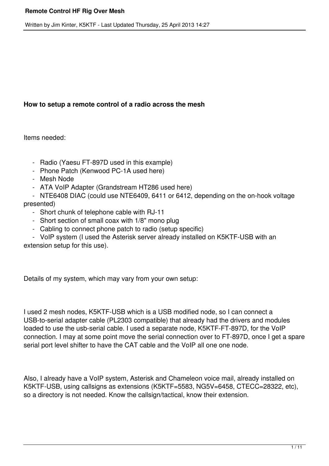# **How to setup a remote control of a radio across the mesh**

Items needed:

- Radio (Yaesu FT-897D used in this example)
- Phone Patch (Kenwood PC-1A used here)
- Mesh Node
- ATA VoIP Adapter (Grandstream HT286 used here)
- NTE6408 DIAC (could use NTE6409, 6411 or 6412, depending on the on-hook voltage presented)
	- Short chunk of telephone cable with RJ-11
	- Short section of small coax with 1/8" mono plug
	- Cabling to connect phone patch to radio (setup specific)

 - VoIP system (I used the Asterisk server already installed on K5KTF-USB with an extension setup for this use).

Details of my system, which may vary from your own setup:

I used 2 mesh nodes, K5KTF-USB which is a USB modified node, so I can connect a USB-to-serial adapter cable (PL2303 compatible) that already had the drivers and modules loaded to use the usb-serial cable. I used a separate node, K5KTF-FT-897D, for the VoIP connection. I may at some point move the serial connection over to FT-897D, once I get a spare serial port level shifter to have the CAT cable and the VoIP all one one node.

Also, I already have a VoIP system, Asterisk and Chameleon voice mail, already installed on K5KTF-USB, using callsigns as extensions (K5KTF=5583, NG5V=6458, CTECC=28322, etc), so a directory is not needed. Know the callsign/tactical, know their extension.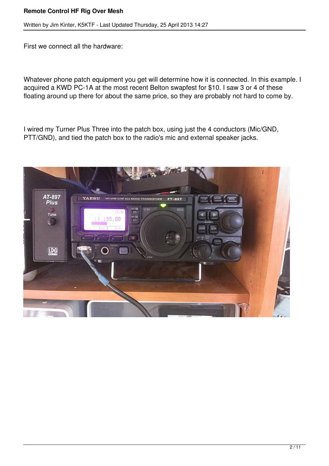First we connect all the hardware:

Whatever phone patch equipment you get will determine how it is connected. In this example. I acquired a KWD PC-1A at the most recent Belton swapfest for \$10. I saw 3 or 4 of these floating around up there for about the same price, so they are probably not hard to come by.

I wired my Turner Plus Three into the patch box, using just the 4 conductors (Mic/GND, PTT/GND), and tied the patch box to the radio's mic and external speaker jacks.

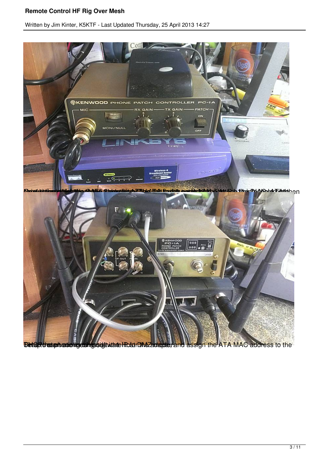

**Time of dresphonic figuring software... The phone metally depended in 1-Host DMAC address to the**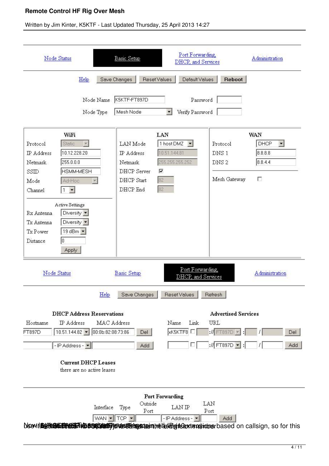| Node Status                                                                                                                                                                                                                                                                                                                                          | Basic Setup                                                                | Port Forwarding,<br>DHCP, and Services                                                       |                                                                            | Administration                                                       |  |
|------------------------------------------------------------------------------------------------------------------------------------------------------------------------------------------------------------------------------------------------------------------------------------------------------------------------------------------------------|----------------------------------------------------------------------------|----------------------------------------------------------------------------------------------|----------------------------------------------------------------------------|----------------------------------------------------------------------|--|
| Help<br>Node Name<br>Node Type                                                                                                                                                                                                                                                                                                                       | <b>Reset Values</b><br>Save Changes<br>K5KTF-FT897D<br>Mesh Node           | Default Values<br>Password<br>Verify Password<br>$\blacktriangledown$                        | Reboot                                                                     |                                                                      |  |
| WiFi<br>Protocol<br>Static<br>$\mathbf{v}$<br>10.12.228.20<br>IP Address<br>255.0.0.0<br>Netmask<br>SSID<br><b>HSMM-MESH</b><br>Ad-Hoc<br>Mode<br>Channel<br>$\blacktriangledown$<br>$\top$<br><b>Active Settings</b><br>Rx Antenna<br>Diversity $\blacktriangledown$<br>Diversity -<br>Tx Antenna<br>19 dBm -<br>Tx Power<br>o<br>Distance<br>Apply | LAN Mode<br>IP Address<br>Netmask<br>DHCP Server<br>DHCP Start<br>DHCP End | LAN<br>1 host DMZ<br>$\vert \cdot \vert$<br>10.51.144.81<br>255.255.255.252<br>⊽<br>82<br>82 | Protocol<br>DNS 1<br>DNS <sub>2</sub><br>Mesh Gateway                      | <b>WAN</b><br>$\vert \cdot \vert$<br>DHCP<br>8.8.8.8<br>8.8.4.4<br>г |  |
| Node Status                                                                                                                                                                                                                                                                                                                                          | <b>Basic Setup</b>                                                         | Port Forwarding,<br>DHCP, and Services                                                       |                                                                            | Administration                                                       |  |
| <b>DHCP Address Reservations</b><br>Hostname<br>IP Address<br>$10.51.144.82$ $\bullet$<br>FT897D<br>-IP Address - v<br><b>Current DHCP Leases</b><br>there are no active leases                                                                                                                                                                      | Save Changes<br>Help<br>MAC Address<br>00:0b:82:08:73:86<br>Del<br>Add     | Reset Values<br>Link<br>Name<br>xK5KTF8                                                      | Refresh<br><b>Advertised Services</b><br>URL<br>$M$ FT897D<br>:// FT897D - | Del<br>Add                                                           |  |
| blsewithed The Summer States of the Summer Section of the Summer Section and Summer Sections of the Summer Section and Summer Sections, so for this                                                                                                                                                                                                  | Outside<br>Interface<br>Type<br>Port<br>WAN -<br>$TCP -$                   | <b>Port Forwarding</b><br>LAN IP<br>-IP Address -                                            | LAN<br>Port<br>Add                                                         |                                                                      |  |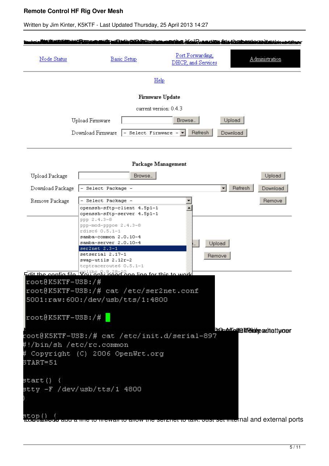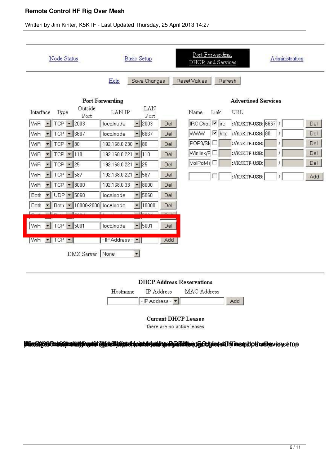#### Written by Jim Kinter, K5KTF - Last Updated Thursday, 25 April 2013 14:27





#### **Blint20000 (has 02 Martin Republic Digite B) and the interface of the Digital Martin Control of The Device of De**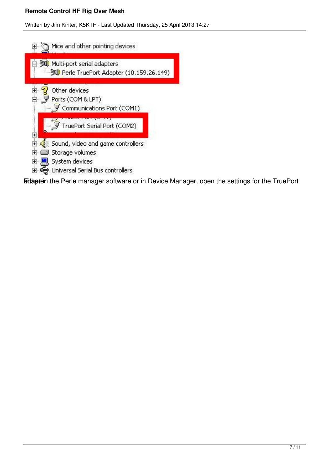

Edtaptein the Perle manager software or in Device Manager, open the settings for the TruePort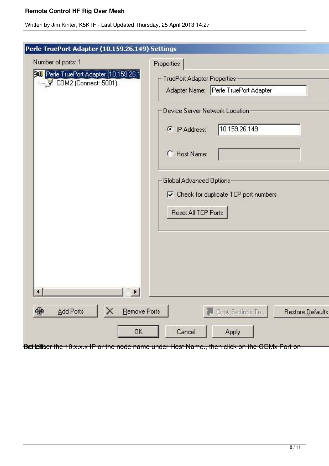Written by Jim Kinter, K5KTF - Last Updated Thursday, 25 April 2013 14:27

| Number of ports: 1                                          | Properties                                                  |
|-------------------------------------------------------------|-------------------------------------------------------------|
| Perle TruePort Adapter (10.159.26.1<br>COM2 (Connect: 5001) | TruePort Adapter Properties                                 |
|                                                             | Adapter Name: Perle TruePort Adapter                        |
|                                                             | Device Server Network Location                              |
|                                                             | 10.159.26.149<br>F IP Address:                              |
|                                                             | C Host Name:                                                |
|                                                             | Global Advanced Options                                     |
|                                                             | $\triangledown$ Check for duplicate TCP port numbers        |
|                                                             | Reset All TCP Ports                                         |
|                                                             |                                                             |
|                                                             |                                                             |
|                                                             |                                                             |
| Ŧ<br>$\blacksquare$                                         | $\vert \cdot \vert$                                         |
| $\oplus$<br>Add Ports<br>х                                  | <b>Remove Ports</b><br>Copy Settings To<br>Restore Defaults |
|                                                             |                                                             |

Bet leither the 10.x.x.x IP or the node name under Host Name., then click on the COMx Port on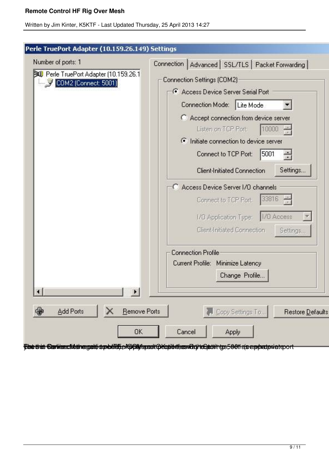| Number of ports: 1<br><b>Bull</b> Perle TruePort Adapter (10.159.26.1<br>COM2 (Connect: 5001) | Connection   Advanced   SSL/TLS   Packet Forwarding  <br>Connection Settings (COM2)<br>Access Device Server Serial Port<br>Connection Mode: Lite Mode<br>C Accept connection from device server<br>Listen on TCP Port:<br>10000<br>ighthat connection to device server<br>Connect to TCP Port:<br>5001<br>÷<br>Settings<br><b>Client-Initiated Connection</b><br>C Access Device Server I/O channels<br>$33816 -$<br>Connect to TCP Port:<br>1/0 Application Type:   1/0 Access<br>Client-Initiated Connection |
|-----------------------------------------------------------------------------------------------|----------------------------------------------------------------------------------------------------------------------------------------------------------------------------------------------------------------------------------------------------------------------------------------------------------------------------------------------------------------------------------------------------------------------------------------------------------------------------------------------------------------|
| $\blacksquare$<br>$\mathbf{E}$<br>$\oplus$<br>Add Ports<br><b>Remove Ports</b>                | Settings<br><b>Connection Profile</b><br>Current Profile: Minimize Latency<br>Change Profile<br>Copy Settings To<br>Restore Default:                                                                                                                                                                                                                                                                                                                                                                           |

**Fore than Cartilece tital nerget op edition Apply terror properties devit ten entity of the complete riet of ort**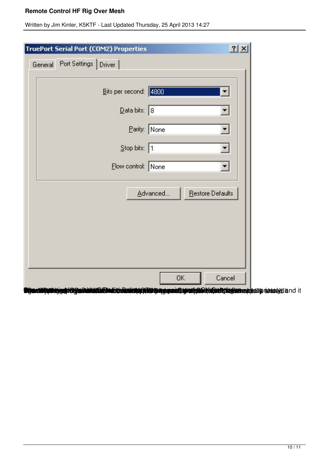| <b>TruePort Serial Port (COM2) Properties</b>                                                                      |                              | 2 X    |
|--------------------------------------------------------------------------------------------------------------------|------------------------------|--------|
| Port Settings Driver<br>General                                                                                    |                              |        |
| Bits per second: 4800                                                                                              |                              | ▼      |
| $\overline{\mathsf{Data}}$ bits: 8                                                                                 |                              |        |
| Parity: None                                                                                                       |                              | ▼      |
| Stop bits: 1                                                                                                       |                              | ¥.     |
| Elow control: None                                                                                                 |                              |        |
|                                                                                                                    | Restore Defaults<br>Advanced |        |
|                                                                                                                    | OK                           | Cancel |
| <b>selättettiejeelitelysiikiskiläksindekhassistyö Eterproprosettet koluuteleksi kessinesiduuto resselyt and it</b> |                              |        |